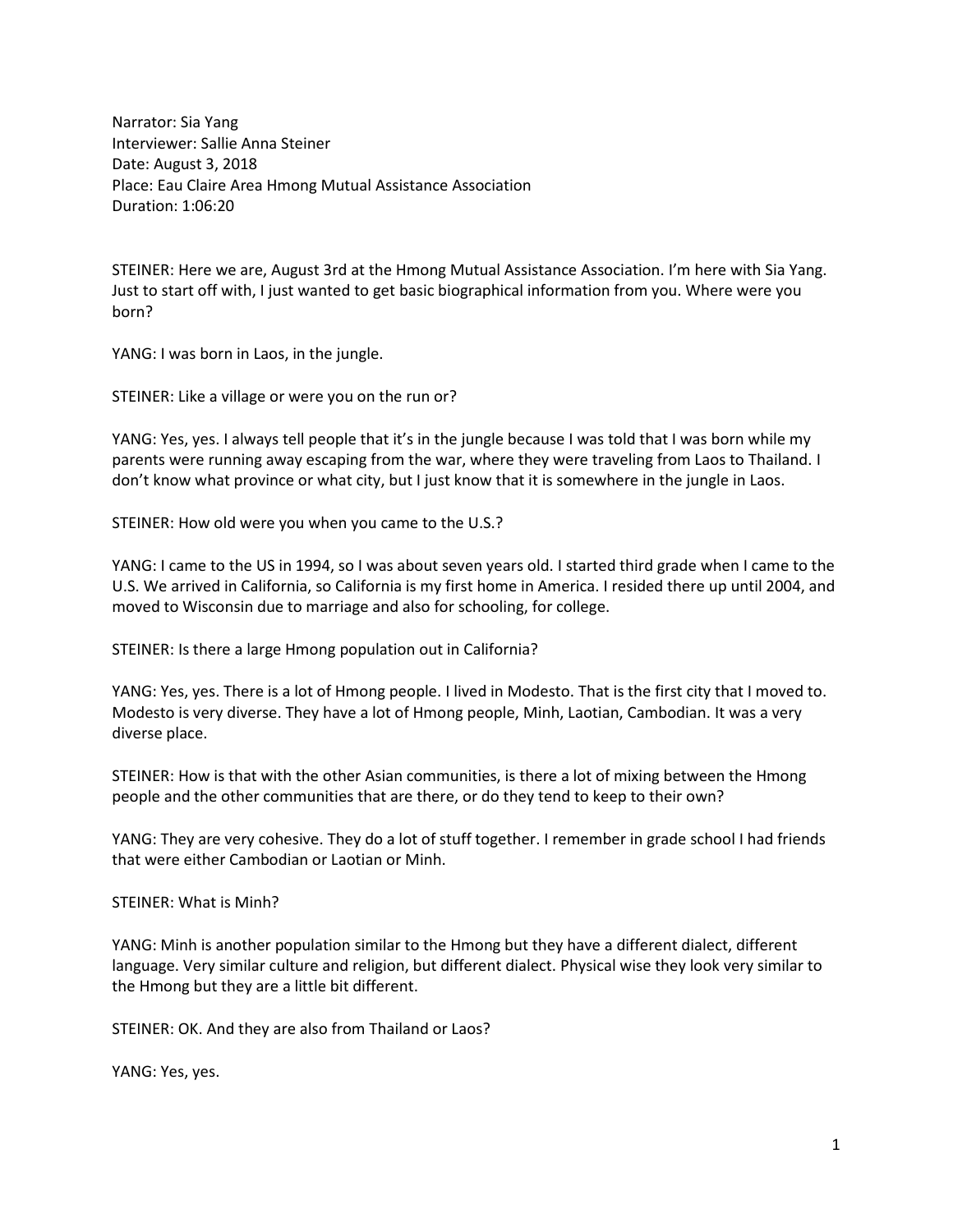Narrator: Sia Yang Interviewer: Sallie Anna Steiner Date: August 3, 2018 Place: Eau Claire Area Hmong Mutual Assistance Association Duration: 1:06:20

STEINER: Here we are, August 3rd at the Hmong Mutual Assistance Association. I'm here with Sia Yang. Just to start off with, I just wanted to get basic biographical information from you. Where were you born?

YANG: I was born in Laos, in the jungle.

STEINER: Like a village or were you on the run or?

YANG: Yes, yes. I always tell people that it's in the jungle because I was told that I was born while my parents were running away escaping from the war, where they were traveling from Laos to Thailand. I don't know what province or what city, but I just know that it is somewhere in the jungle in Laos.

STEINER: How old were you when you came to the U.S.?

YANG: I came to the US in 1994, so I was about seven years old. I started third grade when I came to the U.S. We arrived in California, so California is my first home in America. I resided there up until 2004, and moved to Wisconsin due to marriage and also for schooling, for college.

STEINER: Is there a large Hmong population out in California?

YANG: Yes, yes. There is a lot of Hmong people. I lived in Modesto. That is the first city that I moved to. Modesto is very diverse. They have a lot of Hmong people, Minh, Laotian, Cambodian. It was a very diverse place.

STEINER: How is that with the other Asian communities, is there a lot of mixing between the Hmong people and the other communities that are there, or do they tend to keep to their own?

YANG: They are very cohesive. They do a lot of stuff together. I remember in grade school I had friends that were either Cambodian or Laotian or Minh.

STEINER: What is Minh?

YANG: Minh is another population similar to the Hmong but they have a different dialect, different language. Very similar culture and religion, but different dialect. Physical wise they look very similar to the Hmong but they are a little bit different.

STEINER: OK. And they are also from Thailand or Laos?

YANG: Yes, yes.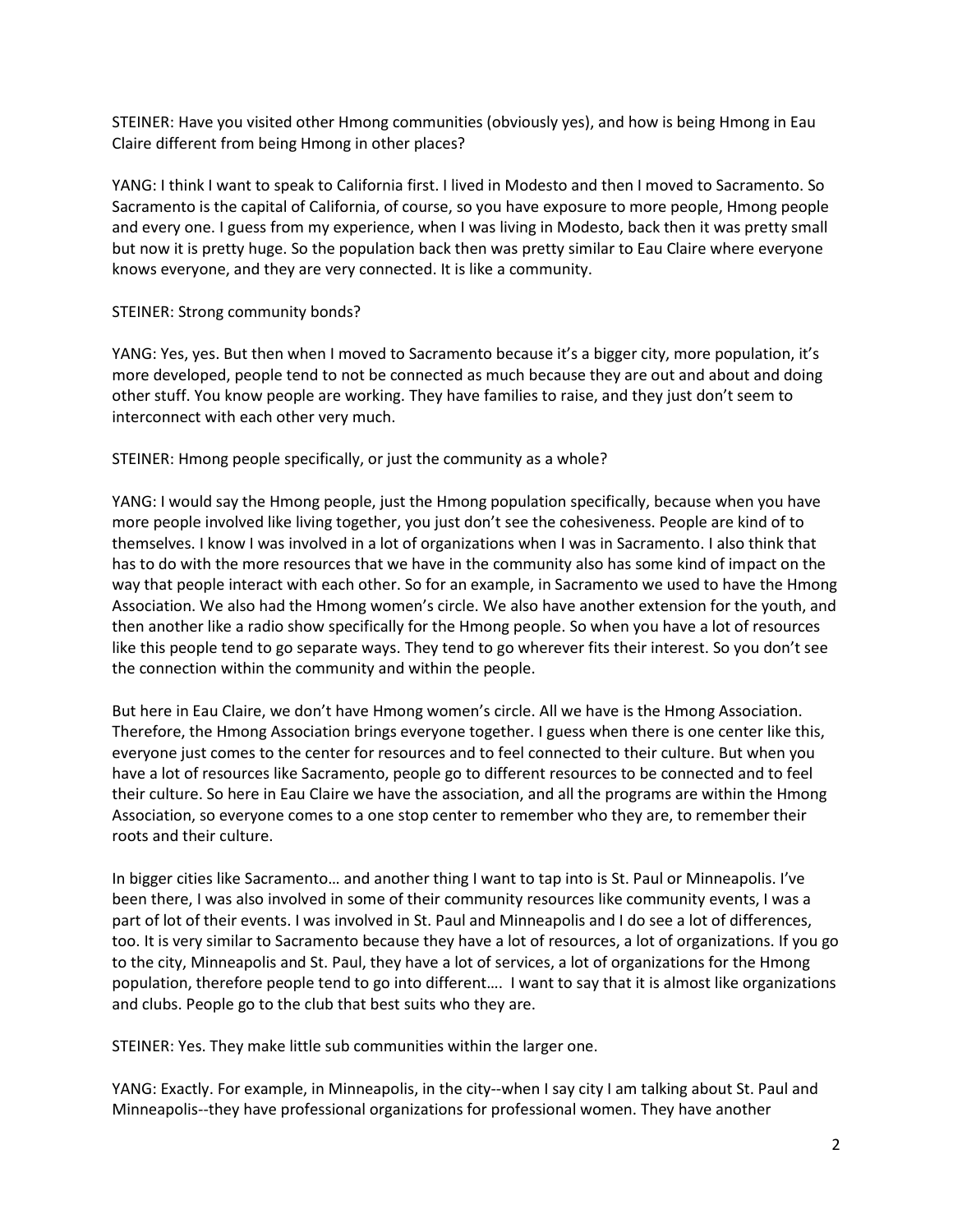STEINER: Have you visited other Hmong communities (obviously yes), and how is being Hmong in Eau Claire different from being Hmong in other places?

YANG: I think I want to speak to California first. I lived in Modesto and then I moved to Sacramento. So Sacramento is the capital of California, of course, so you have exposure to more people, Hmong people and every one. I guess from my experience, when I was living in Modesto, back then it was pretty small but now it is pretty huge. So the population back then was pretty similar to Eau Claire where everyone knows everyone, and they are very connected. It is like a community.

# STEINER: Strong community bonds?

YANG: Yes, yes. But then when I moved to Sacramento because it's a bigger city, more population, it's more developed, people tend to not be connected as much because they are out and about and doing other stuff. You know people are working. They have families to raise, and they just don't seem to interconnect with each other very much.

STEINER: Hmong people specifically, or just the community as a whole?

YANG: I would say the Hmong people, just the Hmong population specifically, because when you have more people involved like living together, you just don't see the cohesiveness. People are kind of to themselves. I know I was involved in a lot of organizations when I was in Sacramento. I also think that has to do with the more resources that we have in the community also has some kind of impact on the way that people interact with each other. So for an example, in Sacramento we used to have the Hmong Association. We also had the Hmong women's circle. We also have another extension for the youth, and then another like a radio show specifically for the Hmong people. So when you have a lot of resources like this people tend to go separate ways. They tend to go wherever fits their interest. So you don't see the connection within the community and within the people.

But here in Eau Claire, we don't have Hmong women's circle. All we have is the Hmong Association. Therefore, the Hmong Association brings everyone together. I guess when there is one center like this, everyone just comes to the center for resources and to feel connected to their culture. But when you have a lot of resources like Sacramento, people go to different resources to be connected and to feel their culture. So here in Eau Claire we have the association, and all the programs are within the Hmong Association, so everyone comes to a one stop center to remember who they are, to remember their roots and their culture.

In bigger cities like Sacramento… and another thing I want to tap into is St. Paul or Minneapolis. I've been there, I was also involved in some of their community resources like community events, I was a part of lot of their events. I was involved in St. Paul and Minneapolis and I do see a lot of differences, too. It is very similar to Sacramento because they have a lot of resources, a lot of organizations. If you go to the city, Minneapolis and St. Paul, they have a lot of services, a lot of organizations for the Hmong population, therefore people tend to go into different…. I want to say that it is almost like organizations and clubs. People go to the club that best suits who they are.

STEINER: Yes. They make little sub communities within the larger one.

YANG: Exactly. For example, in Minneapolis, in the city--when I say city I am talking about St. Paul and Minneapolis--they have professional organizations for professional women. They have another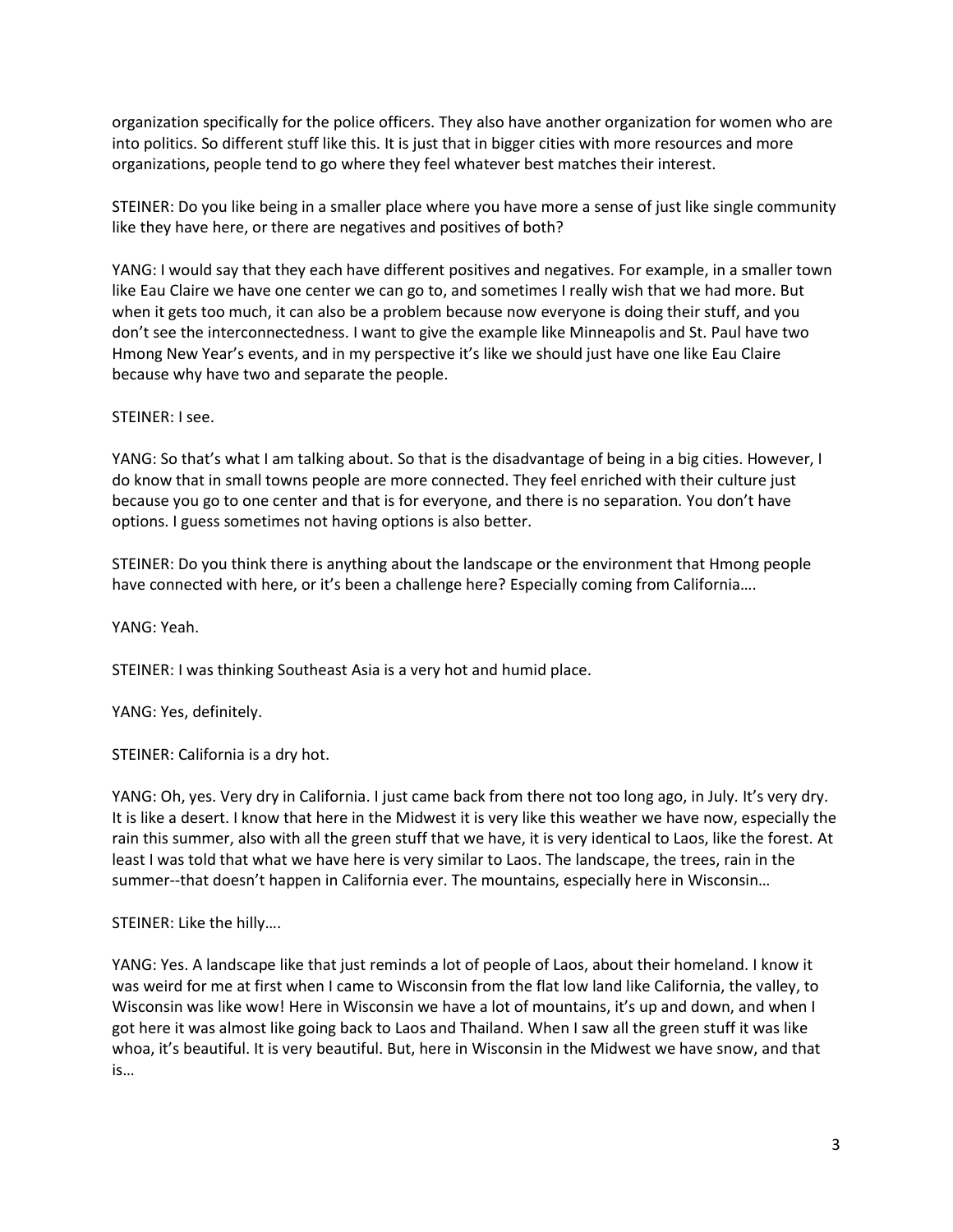organization specifically for the police officers. They also have another organization for women who are into politics. So different stuff like this. It is just that in bigger cities with more resources and more organizations, people tend to go where they feel whatever best matches their interest.

STEINER: Do you like being in a smaller place where you have more a sense of just like single community like they have here, or there are negatives and positives of both?

YANG: I would say that they each have different positives and negatives. For example, in a smaller town like Eau Claire we have one center we can go to, and sometimes I really wish that we had more. But when it gets too much, it can also be a problem because now everyone is doing their stuff, and you don't see the interconnectedness. I want to give the example like Minneapolis and St. Paul have two Hmong New Year's events, and in my perspective it's like we should just have one like Eau Claire because why have two and separate the people.

## STEINER: I see.

YANG: So that's what I am talking about. So that is the disadvantage of being in a big cities. However, I do know that in small towns people are more connected. They feel enriched with their culture just because you go to one center and that is for everyone, and there is no separation. You don't have options. I guess sometimes not having options is also better.

STEINER: Do you think there is anything about the landscape or the environment that Hmong people have connected with here, or it's been a challenge here? Especially coming from California....

YANG: Yeah.

STEINER: I was thinking Southeast Asia is a very hot and humid place.

YANG: Yes, definitely.

STEINER: California is a dry hot.

YANG: Oh, yes. Very dry in California. I just came back from there not too long ago, in July. It's very dry. It is like a desert. I know that here in the Midwest it is very like this weather we have now, especially the rain this summer, also with all the green stuff that we have, it is very identical to Laos, like the forest. At least I was told that what we have here is very similar to Laos. The landscape, the trees, rain in the summer--that doesn't happen in California ever. The mountains, especially here in Wisconsin…

# STEINER: Like the hilly….

YANG: Yes. A landscape like that just reminds a lot of people of Laos, about their homeland. I know it was weird for me at first when I came to Wisconsin from the flat low land like California, the valley, to Wisconsin was like wow! Here in Wisconsin we have a lot of mountains, it's up and down, and when I got here it was almost like going back to Laos and Thailand. When I saw all the green stuff it was like whoa, it's beautiful. It is very beautiful. But, here in Wisconsin in the Midwest we have snow, and that is…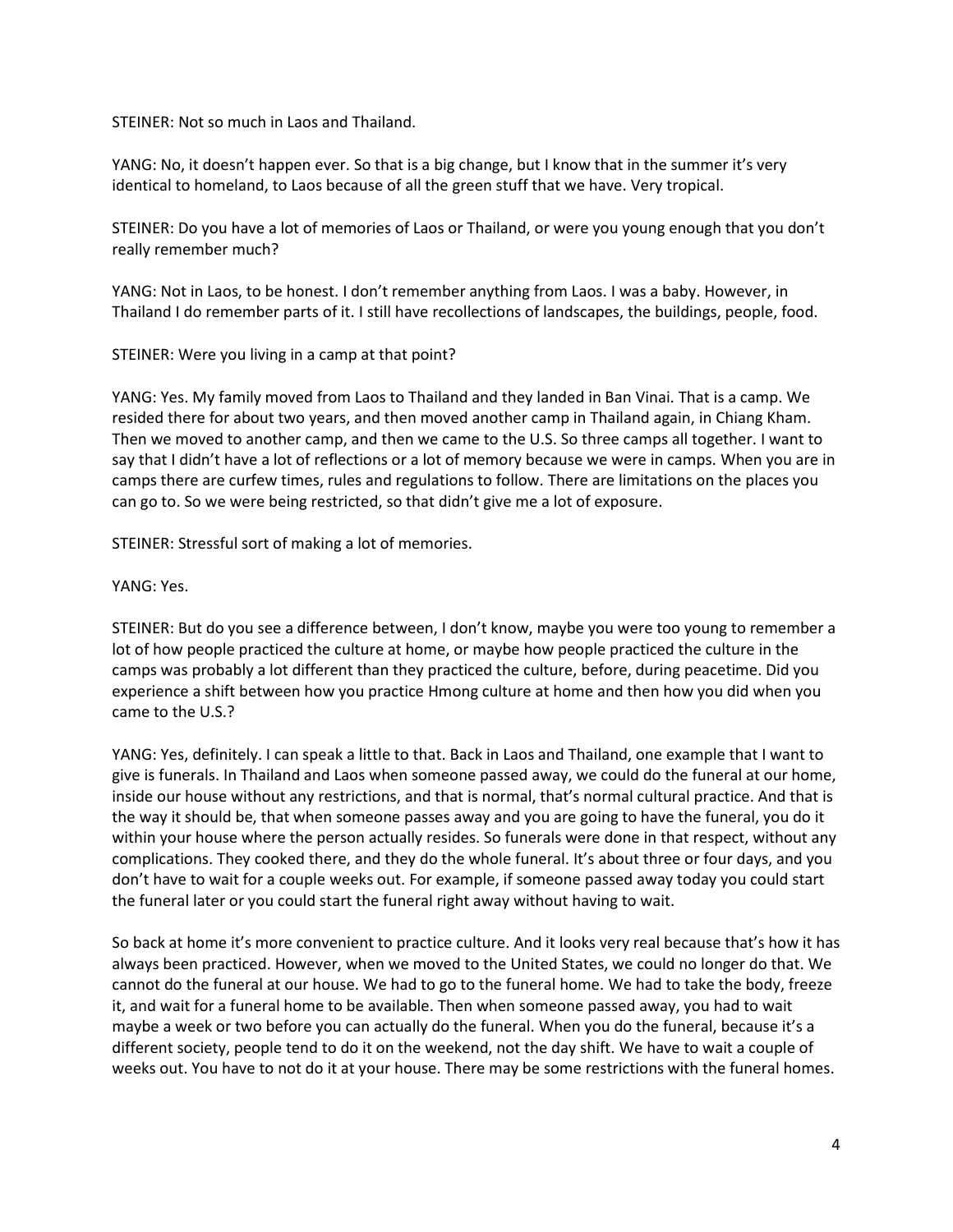STEINER: Not so much in Laos and Thailand.

YANG: No, it doesn't happen ever. So that is a big change, but I know that in the summer it's very identical to homeland, to Laos because of all the green stuff that we have. Very tropical.

STEINER: Do you have a lot of memories of Laos or Thailand, or were you young enough that you don't really remember much?

YANG: Not in Laos, to be honest. I don't remember anything from Laos. I was a baby. However, in Thailand I do remember parts of it. I still have recollections of landscapes, the buildings, people, food.

STEINER: Were you living in a camp at that point?

YANG: Yes. My family moved from Laos to Thailand and they landed in Ban Vinai. That is a camp. We resided there for about two years, and then moved another camp in Thailand again, in Chiang Kham. Then we moved to another camp, and then we came to the U.S. So three camps all together. I want to say that I didn't have a lot of reflections or a lot of memory because we were in camps. When you are in camps there are curfew times, rules and regulations to follow. There are limitations on the places you can go to. So we were being restricted, so that didn't give me a lot of exposure.

STEINER: Stressful sort of making a lot of memories.

YANG: Yes.

STEINER: But do you see a difference between, I don't know, maybe you were too young to remember a lot of how people practiced the culture at home, or maybe how people practiced the culture in the camps was probably a lot different than they practiced the culture, before, during peacetime. Did you experience a shift between how you practice Hmong culture at home and then how you did when you came to the U.S.?

YANG: Yes, definitely. I can speak a little to that. Back in Laos and Thailand, one example that I want to give is funerals. In Thailand and Laos when someone passed away, we could do the funeral at our home, inside our house without any restrictions, and that is normal, that's normal cultural practice. And that is the way it should be, that when someone passes away and you are going to have the funeral, you do it within your house where the person actually resides. So funerals were done in that respect, without any complications. They cooked there, and they do the whole funeral. It's about three or four days, and you don't have to wait for a couple weeks out. For example, if someone passed away today you could start the funeral later or you could start the funeral right away without having to wait.

So back at home it's more convenient to practice culture. And it looks very real because that's how it has always been practiced. However, when we moved to the United States, we could no longer do that. We cannot do the funeral at our house. We had to go to the funeral home. We had to take the body, freeze it, and wait for a funeral home to be available. Then when someone passed away, you had to wait maybe a week or two before you can actually do the funeral. When you do the funeral, because it's a different society, people tend to do it on the weekend, not the day shift. We have to wait a couple of weeks out. You have to not do it at your house. There may be some restrictions with the funeral homes.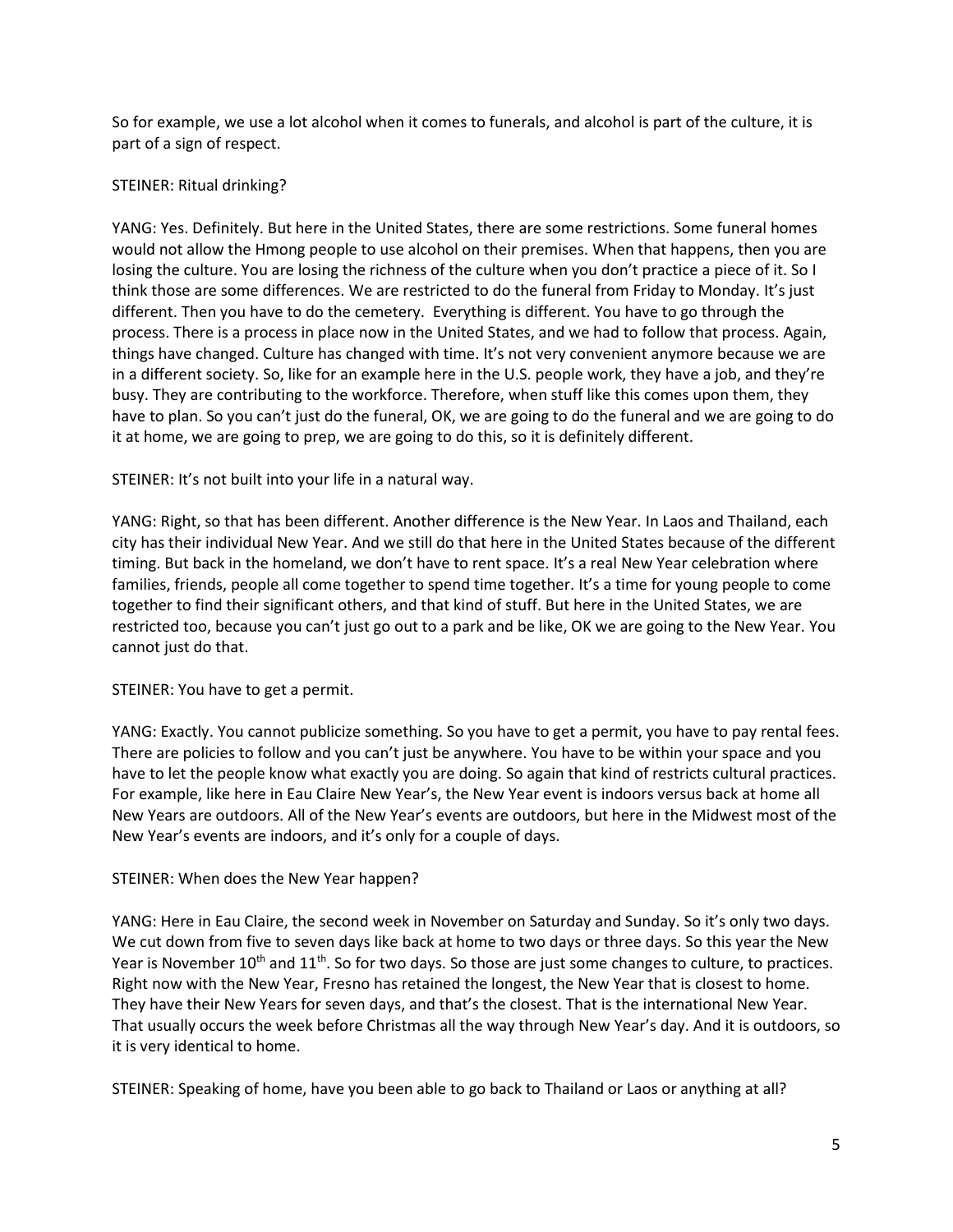So for example, we use a lot alcohol when it comes to funerals, and alcohol is part of the culture, it is part of a sign of respect.

# STEINER: Ritual drinking?

YANG: Yes. Definitely. But here in the United States, there are some restrictions. Some funeral homes would not allow the Hmong people to use alcohol on their premises. When that happens, then you are losing the culture. You are losing the richness of the culture when you don't practice a piece of it. So I think those are some differences. We are restricted to do the funeral from Friday to Monday. It's just different. Then you have to do the cemetery. Everything is different. You have to go through the process. There is a process in place now in the United States, and we had to follow that process. Again, things have changed. Culture has changed with time. It's not very convenient anymore because we are in a different society. So, like for an example here in the U.S. people work, they have a job, and they're busy. They are contributing to the workforce. Therefore, when stuff like this comes upon them, they have to plan. So you can't just do the funeral, OK, we are going to do the funeral and we are going to do it at home, we are going to prep, we are going to do this, so it is definitely different.

## STEINER: It's not built into your life in a natural way.

YANG: Right, so that has been different. Another difference is the New Year. In Laos and Thailand, each city has their individual New Year. And we still do that here in the United States because of the different timing. But back in the homeland, we don't have to rent space. It's a real New Year celebration where families, friends, people all come together to spend time together. It's a time for young people to come together to find their significant others, and that kind of stuff. But here in the United States, we are restricted too, because you can't just go out to a park and be like, OK we are going to the New Year. You cannot just do that.

# STEINER: You have to get a permit.

YANG: Exactly. You cannot publicize something. So you have to get a permit, you have to pay rental fees. There are policies to follow and you can't just be anywhere. You have to be within your space and you have to let the people know what exactly you are doing. So again that kind of restricts cultural practices. For example, like here in Eau Claire New Year's, the New Year event is indoors versus back at home all New Years are outdoors. All of the New Year's events are outdoors, but here in the Midwest most of the New Year's events are indoors, and it's only for a couple of days.

### STEINER: When does the New Year happen?

YANG: Here in Eau Claire, the second week in November on Saturday and Sunday. So it's only two days. We cut down from five to seven days like back at home to two days or three days. So this year the New Year is November 10<sup>th</sup> and 11<sup>th</sup>. So for two days. So those are just some changes to culture, to practices. Right now with the New Year, Fresno has retained the longest, the New Year that is closest to home. They have their New Years for seven days, and that's the closest. That is the international New Year. That usually occurs the week before Christmas all the way through New Year's day. And it is outdoors, so it is very identical to home.

STEINER: Speaking of home, have you been able to go back to Thailand or Laos or anything at all?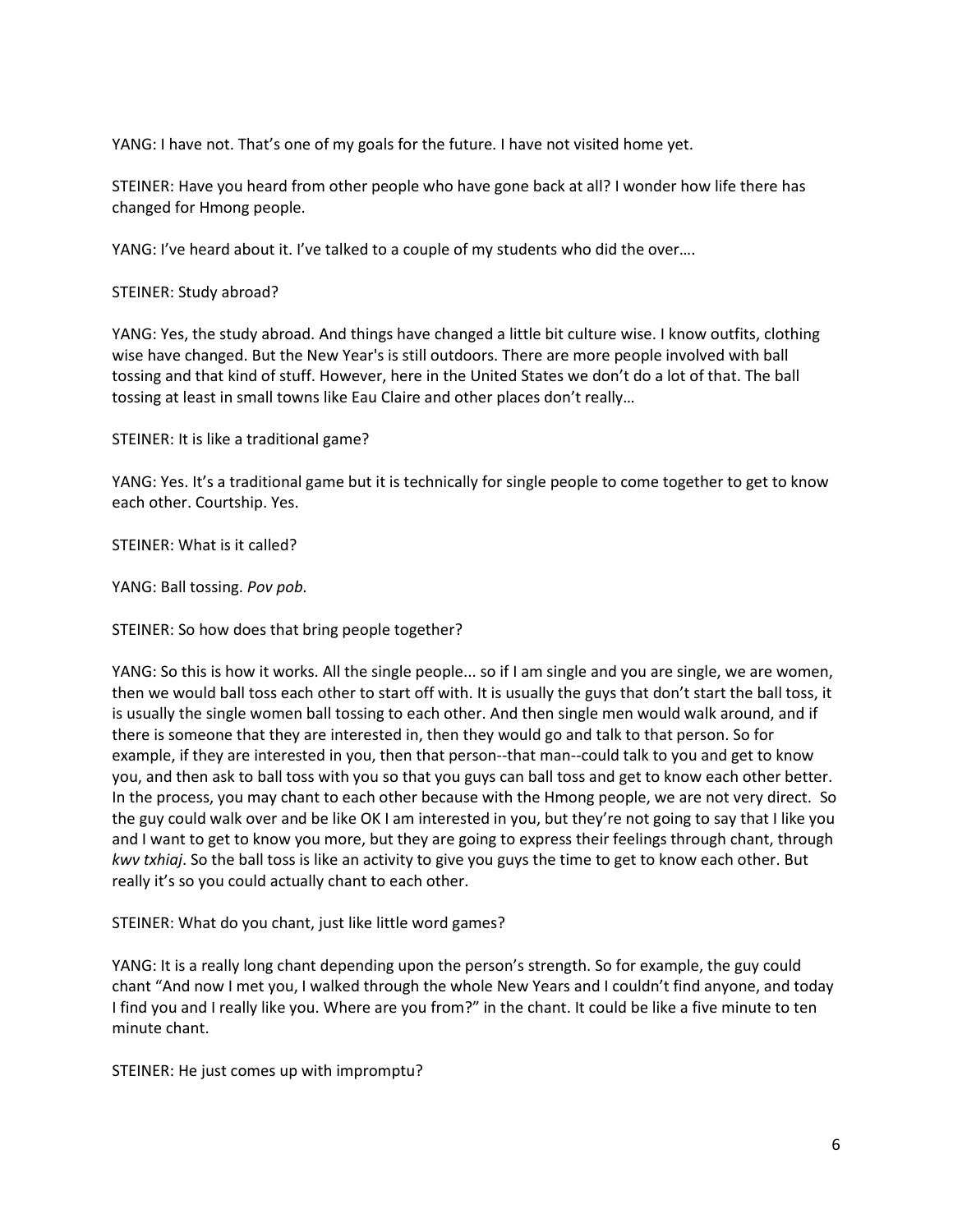YANG: I have not. That's one of my goals for the future. I have not visited home yet.

STEINER: Have you heard from other people who have gone back at all? I wonder how life there has changed for Hmong people.

YANG: I've heard about it. I've talked to a couple of my students who did the over….

STEINER: Study abroad?

YANG: Yes, the study abroad. And things have changed a little bit culture wise. I know outfits, clothing wise have changed. But the New Year's is still outdoors. There are more people involved with ball tossing and that kind of stuff. However, here in the United States we don't do a lot of that. The ball tossing at least in small towns like Eau Claire and other places don't really…

STEINER: It is like a traditional game?

YANG: Yes. It's a traditional game but it is technically for single people to come together to get to know each other. Courtship. Yes.

STEINER: What is it called?

YANG: Ball tossing. *Pov pob*.

STEINER: So how does that bring people together?

YANG: So this is how it works. All the single people... so if I am single and you are single, we are women, then we would ball toss each other to start off with. It is usually the guys that don't start the ball toss, it is usually the single women ball tossing to each other. And then single men would walk around, and if there is someone that they are interested in, then they would go and talk to that person. So for example, if they are interested in you, then that person--that man--could talk to you and get to know you, and then ask to ball toss with you so that you guys can ball toss and get to know each other better. In the process, you may chant to each other because with the Hmong people, we are not very direct. So the guy could walk over and be like OK I am interested in you, but they're not going to say that I like you and I want to get to know you more, but they are going to express their feelings through chant, through *kwv txhiaj*. So the ball toss is like an activity to give you guys the time to get to know each other. But really it's so you could actually chant to each other.

STEINER: What do you chant, just like little word games?

YANG: It is a really long chant depending upon the person's strength. So for example, the guy could chant "And now I met you, I walked through the whole New Years and I couldn't find anyone, and today I find you and I really like you. Where are you from?" in the chant. It could be like a five minute to ten minute chant.

STEINER: He just comes up with impromptu?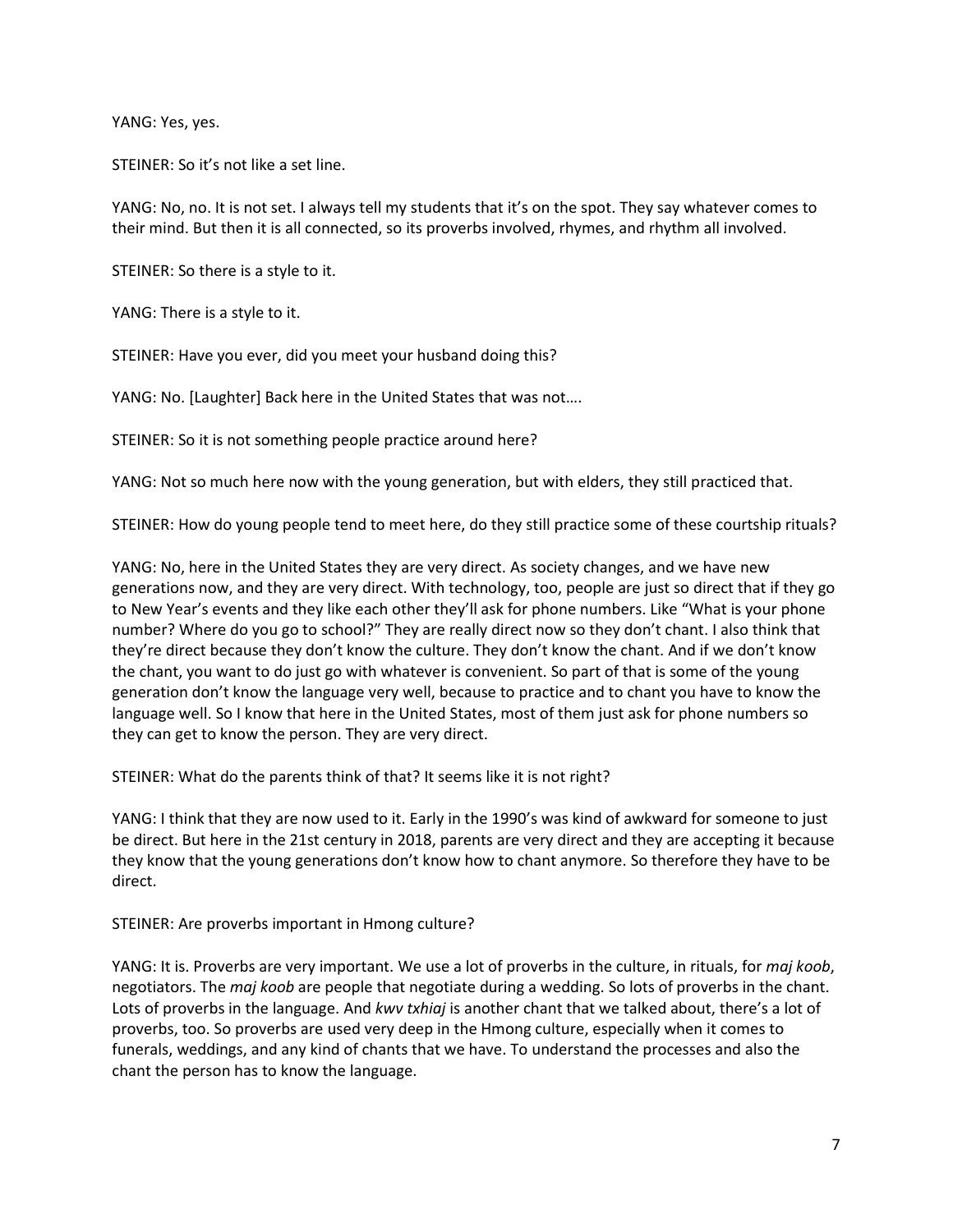YANG: Yes, yes.

STEINER: So it's not like a set line.

YANG: No, no. It is not set. I always tell my students that it's on the spot. They say whatever comes to their mind. But then it is all connected, so its proverbs involved, rhymes, and rhythm all involved.

STEINER: So there is a style to it.

YANG: There is a style to it.

STEINER: Have you ever, did you meet your husband doing this?

YANG: No. [Laughter] Back here in the United States that was not….

STEINER: So it is not something people practice around here?

YANG: Not so much here now with the young generation, but with elders, they still practiced that.

STEINER: How do young people tend to meet here, do they still practice some of these courtship rituals?

YANG: No, here in the United States they are very direct. As society changes, and we have new generations now, and they are very direct. With technology, too, people are just so direct that if they go to New Year's events and they like each other they'll ask for phone numbers. Like "What is your phone number? Where do you go to school?" They are really direct now so they don't chant. I also think that they're direct because they don't know the culture. They don't know the chant. And if we don't know the chant, you want to do just go with whatever is convenient. So part of that is some of the young generation don't know the language very well, because to practice and to chant you have to know the language well. So I know that here in the United States, most of them just ask for phone numbers so they can get to know the person. They are very direct.

STEINER: What do the parents think of that? It seems like it is not right?

YANG: I think that they are now used to it. Early in the 1990's was kind of awkward for someone to just be direct. But here in the 21st century in 2018, parents are very direct and they are accepting it because they know that the young generations don't know how to chant anymore. So therefore they have to be direct.

STEINER: Are proverbs important in Hmong culture?

YANG: It is. Proverbs are very important. We use a lot of proverbs in the culture, in rituals, for *maj koob*, negotiators. The *maj koob* are people that negotiate during a wedding. So lots of proverbs in the chant. Lots of proverbs in the language. And *kwv txhiaj* is another chant that we talked about, there's a lot of proverbs, too. So proverbs are used very deep in the Hmong culture, especially when it comes to funerals, weddings, and any kind of chants that we have. To understand the processes and also the chant the person has to know the language.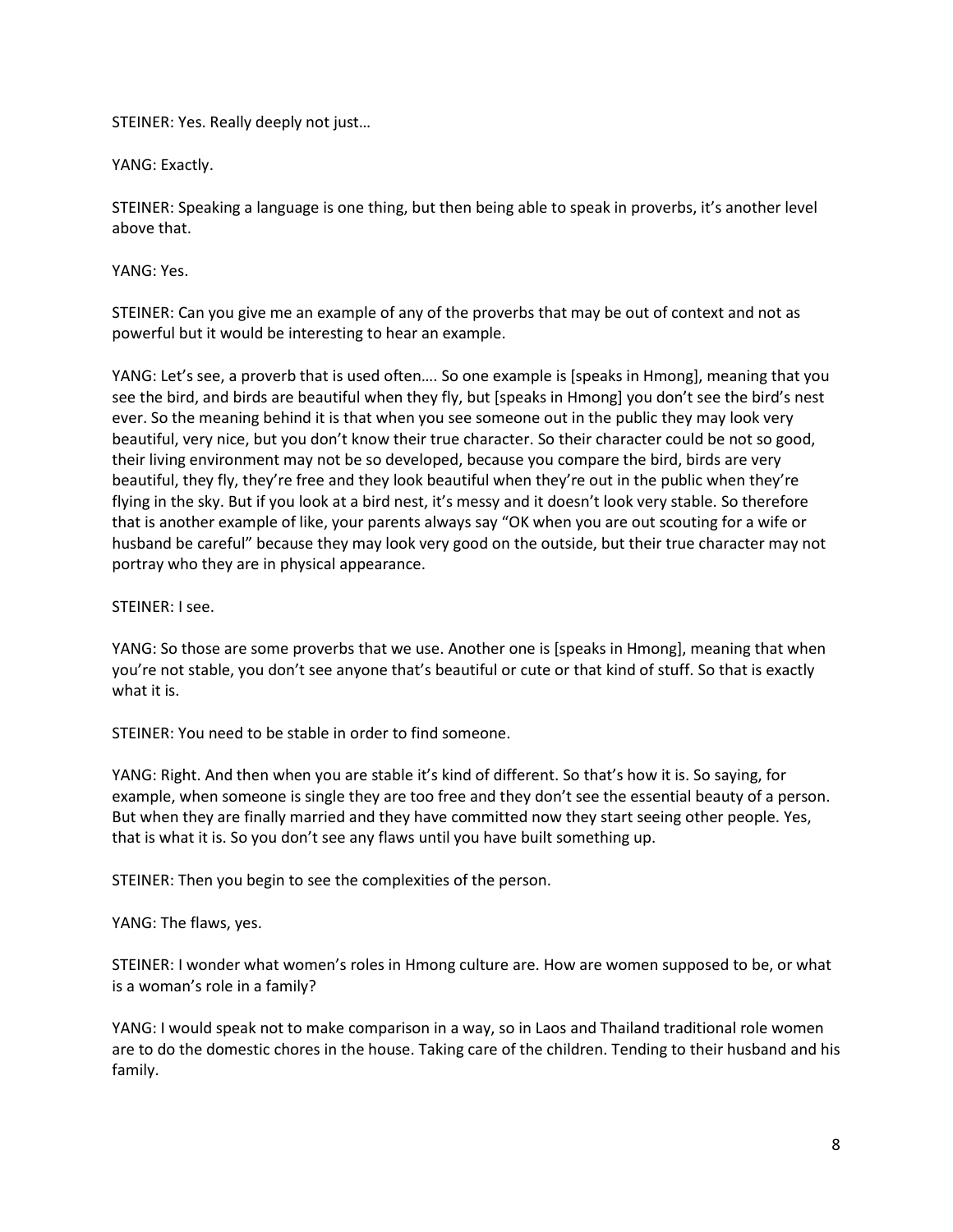STEINER: Yes. Really deeply not just…

YANG: Exactly.

STEINER: Speaking a language is one thing, but then being able to speak in proverbs, it's another level above that.

YANG: Yes.

STEINER: Can you give me an example of any of the proverbs that may be out of context and not as powerful but it would be interesting to hear an example.

YANG: Let's see, a proverb that is used often…. So one example is [speaks in Hmong], meaning that you see the bird, and birds are beautiful when they fly, but [speaks in Hmong] you don't see the bird's nest ever. So the meaning behind it is that when you see someone out in the public they may look very beautiful, very nice, but you don't know their true character. So their character could be not so good, their living environment may not be so developed, because you compare the bird, birds are very beautiful, they fly, they're free and they look beautiful when they're out in the public when they're flying in the sky. But if you look at a bird nest, it's messy and it doesn't look very stable. So therefore that is another example of like, your parents always say "OK when you are out scouting for a wife or husband be careful" because they may look very good on the outside, but their true character may not portray who they are in physical appearance.

STEINER: I see.

YANG: So those are some proverbs that we use. Another one is [speaks in Hmong], meaning that when you're not stable, you don't see anyone that's beautiful or cute or that kind of stuff. So that is exactly what it is.

STEINER: You need to be stable in order to find someone.

YANG: Right. And then when you are stable it's kind of different. So that's how it is. So saying, for example, when someone is single they are too free and they don't see the essential beauty of a person. But when they are finally married and they have committed now they start seeing other people. Yes, that is what it is. So you don't see any flaws until you have built something up.

STEINER: Then you begin to see the complexities of the person.

YANG: The flaws, yes.

STEINER: I wonder what women's roles in Hmong culture are. How are women supposed to be, or what is a woman's role in a family?

YANG: I would speak not to make comparison in a way, so in Laos and Thailand traditional role women are to do the domestic chores in the house. Taking care of the children. Tending to their husband and his family.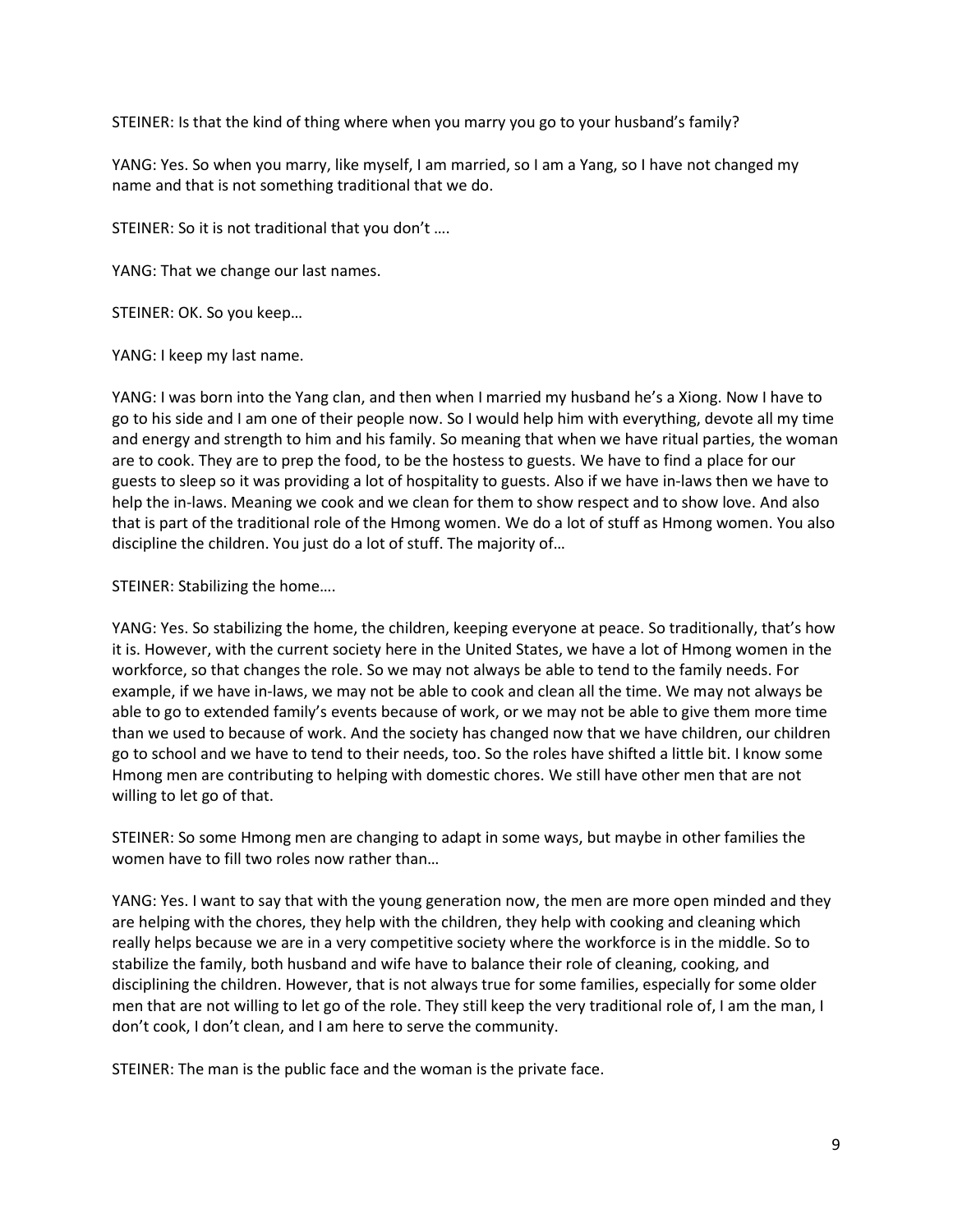STEINER: Is that the kind of thing where when you marry you go to your husband's family?

YANG: Yes. So when you marry, like myself, I am married, so I am a Yang, so I have not changed my name and that is not something traditional that we do.

STEINER: So it is not traditional that you don't ….

YANG: That we change our last names.

STEINER: OK. So you keep…

YANG: I keep my last name.

YANG: I was born into the Yang clan, and then when I married my husband he's a Xiong. Now I have to go to his side and I am one of their people now. So I would help him with everything, devote all my time and energy and strength to him and his family. So meaning that when we have ritual parties, the woman are to cook. They are to prep the food, to be the hostess to guests. We have to find a place for our guests to sleep so it was providing a lot of hospitality to guests. Also if we have in-laws then we have to help the in-laws. Meaning we cook and we clean for them to show respect and to show love. And also that is part of the traditional role of the Hmong women. We do a lot of stuff as Hmong women. You also discipline the children. You just do a lot of stuff. The majority of…

STEINER: Stabilizing the home….

YANG: Yes. So stabilizing the home, the children, keeping everyone at peace. So traditionally, that's how it is. However, with the current society here in the United States, we have a lot of Hmong women in the workforce, so that changes the role. So we may not always be able to tend to the family needs. For example, if we have in-laws, we may not be able to cook and clean all the time. We may not always be able to go to extended family's events because of work, or we may not be able to give them more time than we used to because of work. And the society has changed now that we have children, our children go to school and we have to tend to their needs, too. So the roles have shifted a little bit. I know some Hmong men are contributing to helping with domestic chores. We still have other men that are not willing to let go of that.

STEINER: So some Hmong men are changing to adapt in some ways, but maybe in other families the women have to fill two roles now rather than…

YANG: Yes. I want to say that with the young generation now, the men are more open minded and they are helping with the chores, they help with the children, they help with cooking and cleaning which really helps because we are in a very competitive society where the workforce is in the middle. So to stabilize the family, both husband and wife have to balance their role of cleaning, cooking, and disciplining the children. However, that is not always true for some families, especially for some older men that are not willing to let go of the role. They still keep the very traditional role of, I am the man, I don't cook, I don't clean, and I am here to serve the community.

STEINER: The man is the public face and the woman is the private face.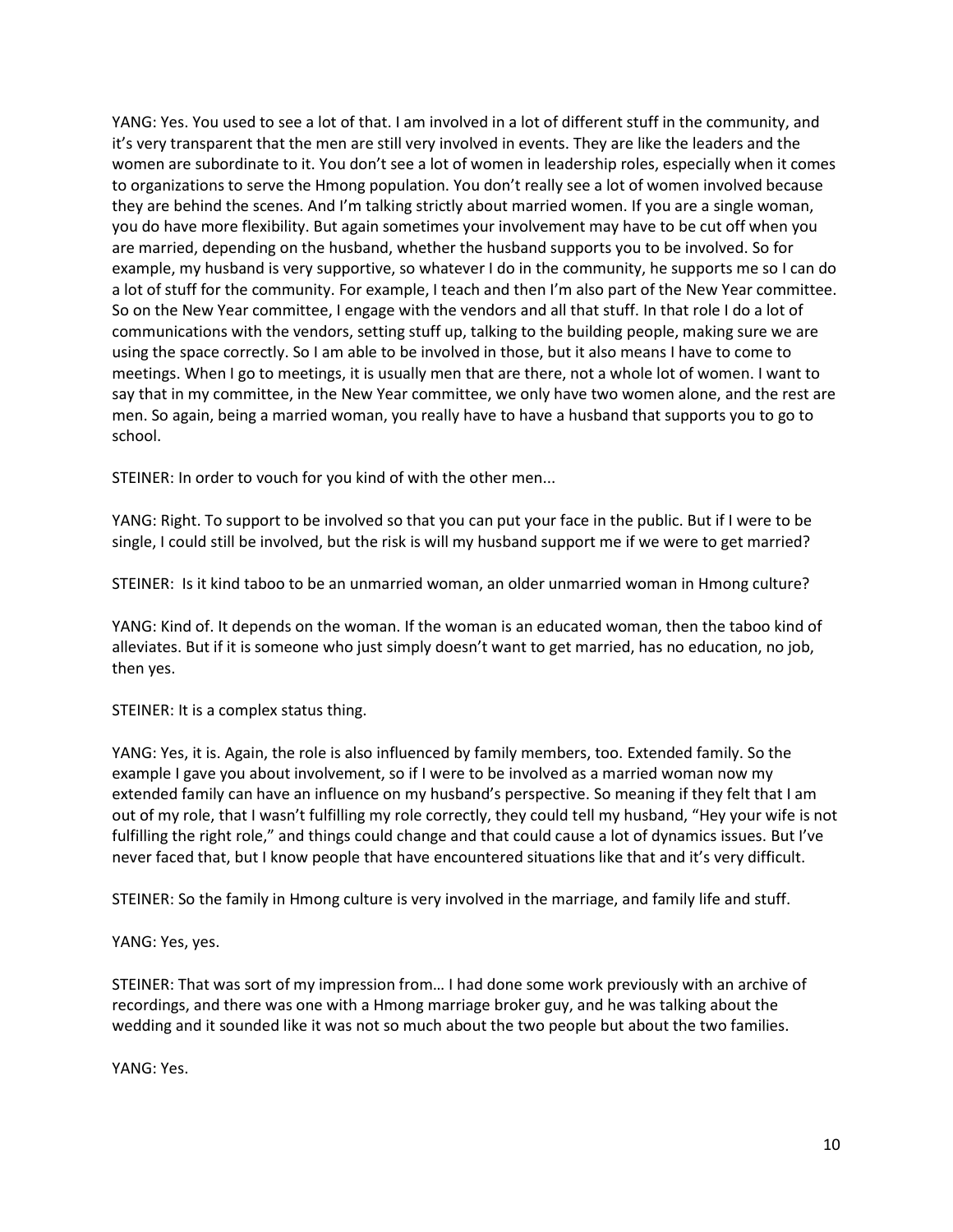YANG: Yes. You used to see a lot of that. I am involved in a lot of different stuff in the community, and it's very transparent that the men are still very involved in events. They are like the leaders and the women are subordinate to it. You don't see a lot of women in leadership roles, especially when it comes to organizations to serve the Hmong population. You don't really see a lot of women involved because they are behind the scenes. And I'm talking strictly about married women. If you are a single woman, you do have more flexibility. But again sometimes your involvement may have to be cut off when you are married, depending on the husband, whether the husband supports you to be involved. So for example, my husband is very supportive, so whatever I do in the community, he supports me so I can do a lot of stuff for the community. For example, I teach and then I'm also part of the New Year committee. So on the New Year committee, I engage with the vendors and all that stuff. In that role I do a lot of communications with the vendors, setting stuff up, talking to the building people, making sure we are using the space correctly. So I am able to be involved in those, but it also means I have to come to meetings. When I go to meetings, it is usually men that are there, not a whole lot of women. I want to say that in my committee, in the New Year committee, we only have two women alone, and the rest are men. So again, being a married woman, you really have to have a husband that supports you to go to school.

STEINER: In order to vouch for you kind of with the other men...

YANG: Right. To support to be involved so that you can put your face in the public. But if I were to be single, I could still be involved, but the risk is will my husband support me if we were to get married?

STEINER: Is it kind taboo to be an unmarried woman, an older unmarried woman in Hmong culture?

YANG: Kind of. It depends on the woman. If the woman is an educated woman, then the taboo kind of alleviates. But if it is someone who just simply doesn't want to get married, has no education, no job, then yes.

STEINER: It is a complex status thing.

YANG: Yes, it is. Again, the role is also influenced by family members, too. Extended family. So the example I gave you about involvement, so if I were to be involved as a married woman now my extended family can have an influence on my husband's perspective. So meaning if they felt that I am out of my role, that I wasn't fulfilling my role correctly, they could tell my husband, "Hey your wife is not fulfilling the right role," and things could change and that could cause a lot of dynamics issues. But I've never faced that, but I know people that have encountered situations like that and it's very difficult.

STEINER: So the family in Hmong culture is very involved in the marriage, and family life and stuff.

YANG: Yes, yes.

STEINER: That was sort of my impression from… I had done some work previously with an archive of recordings, and there was one with a Hmong marriage broker guy, and he was talking about the wedding and it sounded like it was not so much about the two people but about the two families.

YANG: Yes.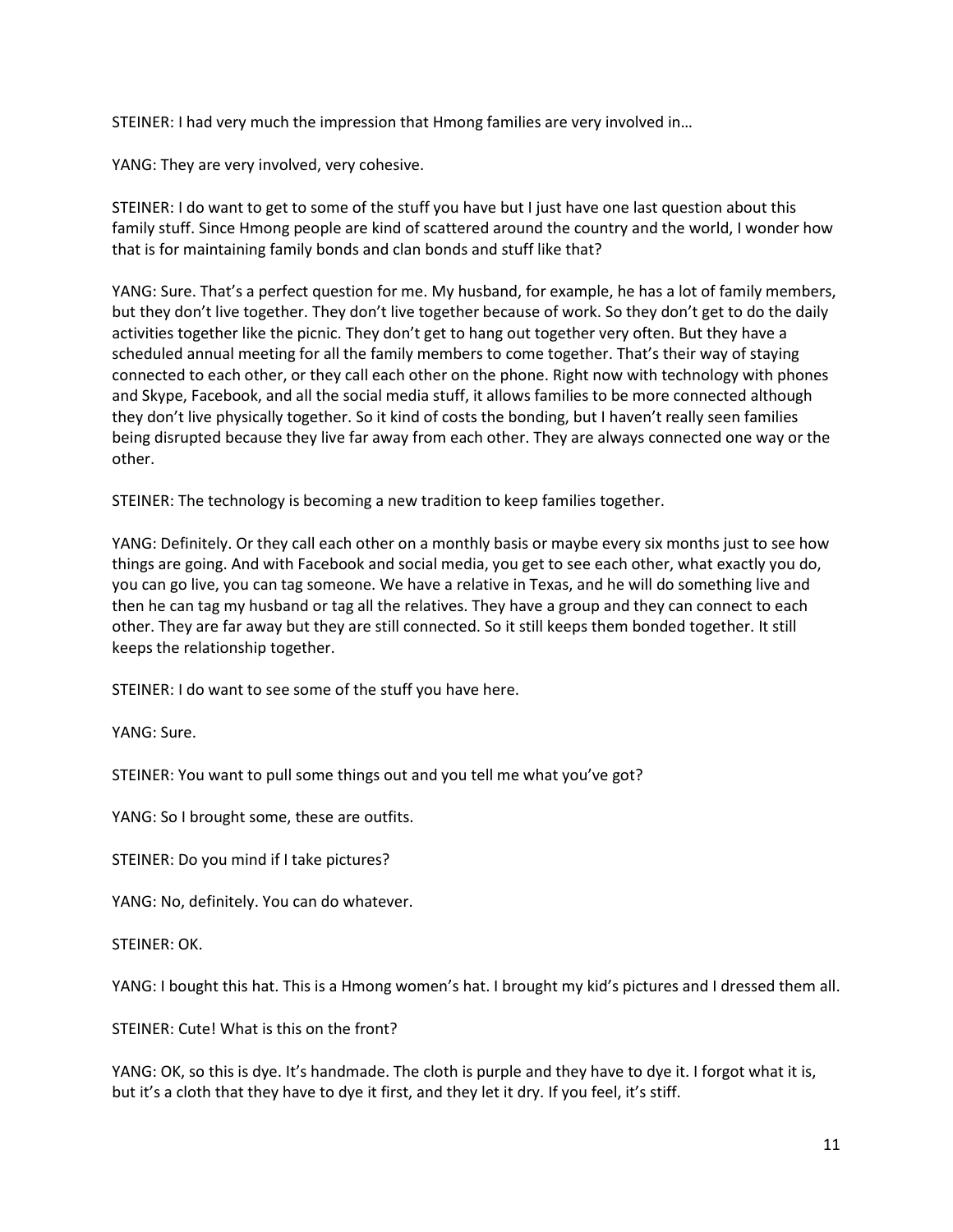STEINER: I had very much the impression that Hmong families are very involved in…

YANG: They are very involved, very cohesive.

STEINER: I do want to get to some of the stuff you have but I just have one last question about this family stuff. Since Hmong people are kind of scattered around the country and the world, I wonder how that is for maintaining family bonds and clan bonds and stuff like that?

YANG: Sure. That's a perfect question for me. My husband, for example, he has a lot of family members, but they don't live together. They don't live together because of work. So they don't get to do the daily activities together like the picnic. They don't get to hang out together very often. But they have a scheduled annual meeting for all the family members to come together. That's their way of staying connected to each other, or they call each other on the phone. Right now with technology with phones and Skype, Facebook, and all the social media stuff, it allows families to be more connected although they don't live physically together. So it kind of costs the bonding, but I haven't really seen families being disrupted because they live far away from each other. They are always connected one way or the other.

STEINER: The technology is becoming a new tradition to keep families together.

YANG: Definitely. Or they call each other on a monthly basis or maybe every six months just to see how things are going. And with Facebook and social media, you get to see each other, what exactly you do, you can go live, you can tag someone. We have a relative in Texas, and he will do something live and then he can tag my husband or tag all the relatives. They have a group and they can connect to each other. They are far away but they are still connected. So it still keeps them bonded together. It still keeps the relationship together.

STEINER: I do want to see some of the stuff you have here.

YANG: Sure.

STEINER: You want to pull some things out and you tell me what you've got?

YANG: So I brought some, these are outfits.

STEINER: Do you mind if I take pictures?

YANG: No, definitely. You can do whatever.

STEINER: OK.

YANG: I bought this hat. This is a Hmong women's hat. I brought my kid's pictures and I dressed them all.

STEINER: Cute! What is this on the front?

YANG: OK, so this is dye. It's handmade. The cloth is purple and they have to dye it. I forgot what it is, but it's a cloth that they have to dye it first, and they let it dry. If you feel, it's stiff.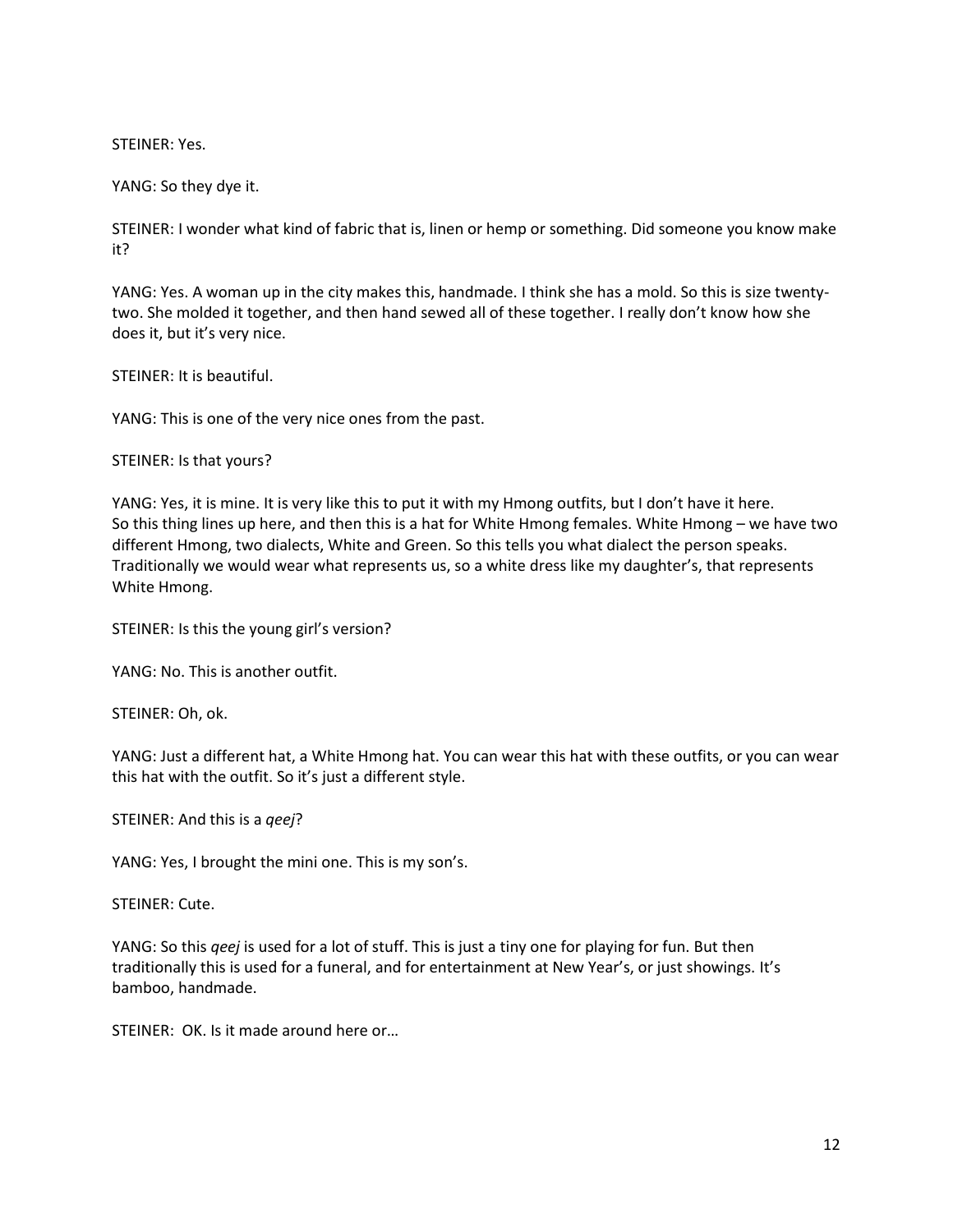STEINER: Yes.

YANG: So they dye it.

STEINER: I wonder what kind of fabric that is, linen or hemp or something. Did someone you know make it?

YANG: Yes. A woman up in the city makes this, handmade. I think she has a mold. So this is size twentytwo. She molded it together, and then hand sewed all of these together. I really don't know how she does it, but it's very nice.

STEINER: It is beautiful.

YANG: This is one of the very nice ones from the past.

STEINER: Is that yours?

YANG: Yes, it is mine. It is very like this to put it with my Hmong outfits, but I don't have it here. So this thing lines up here, and then this is a hat for White Hmong females. White Hmong – we have two different Hmong, two dialects, White and Green. So this tells you what dialect the person speaks. Traditionally we would wear what represents us, so a white dress like my daughter's, that represents White Hmong.

STEINER: Is this the young girl's version?

YANG: No. This is another outfit.

STEINER: Oh, ok.

YANG: Just a different hat, a White Hmong hat. You can wear this hat with these outfits, or you can wear this hat with the outfit. So it's just a different style.

STEINER: And this is a *qeej*?

YANG: Yes, I brought the mini one. This is my son's.

STEINER: Cute.

YANG: So this *qeej* is used for a lot of stuff. This is just a tiny one for playing for fun. But then traditionally this is used for a funeral, and for entertainment at New Year's, or just showings. It's bamboo, handmade.

STEINER: OK. Is it made around here or…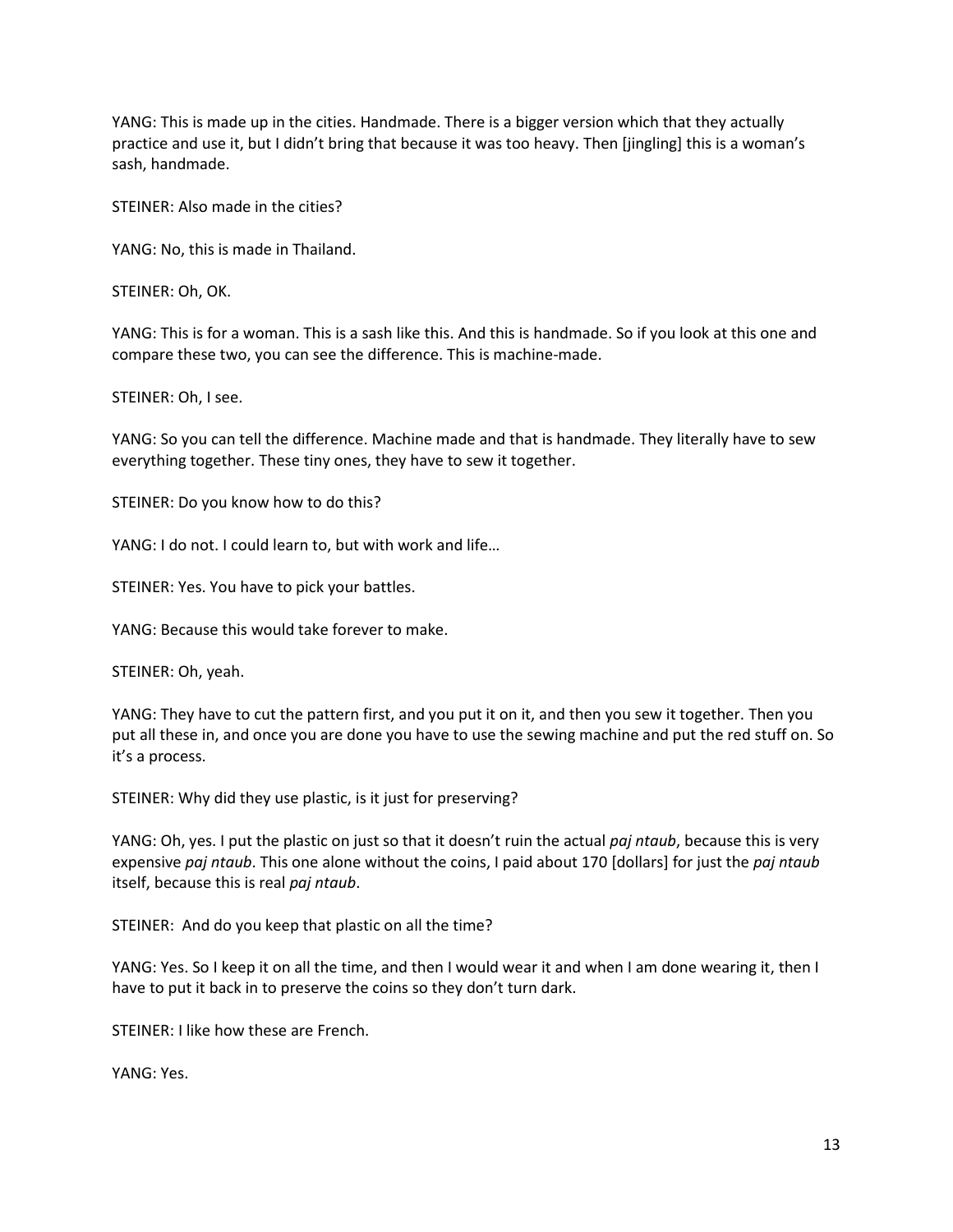YANG: This is made up in the cities. Handmade. There is a bigger version which that they actually practice and use it, but I didn't bring that because it was too heavy. Then [jingling] this is a woman's sash, handmade.

STEINER: Also made in the cities?

YANG: No, this is made in Thailand.

STEINER: Oh, OK.

YANG: This is for a woman. This is a sash like this. And this is handmade. So if you look at this one and compare these two, you can see the difference. This is machine-made.

STEINER: Oh, I see.

YANG: So you can tell the difference. Machine made and that is handmade. They literally have to sew everything together. These tiny ones, they have to sew it together.

STEINER: Do you know how to do this?

YANG: I do not. I could learn to, but with work and life…

STEINER: Yes. You have to pick your battles.

YANG: Because this would take forever to make.

STEINER: Oh, yeah.

YANG: They have to cut the pattern first, and you put it on it, and then you sew it together. Then you put all these in, and once you are done you have to use the sewing machine and put the red stuff on. So it's a process.

STEINER: Why did they use plastic, is it just for preserving?

YANG: Oh, yes. I put the plastic on just so that it doesn't ruin the actual *paj ntaub*, because this is very expensive *paj ntaub*. This one alone without the coins, I paid about 170 [dollars] for just the *paj ntaub* itself, because this is real *paj ntaub*.

STEINER: And do you keep that plastic on all the time?

YANG: Yes. So I keep it on all the time, and then I would wear it and when I am done wearing it, then I have to put it back in to preserve the coins so they don't turn dark.

STEINER: I like how these are French.

YANG: Yes.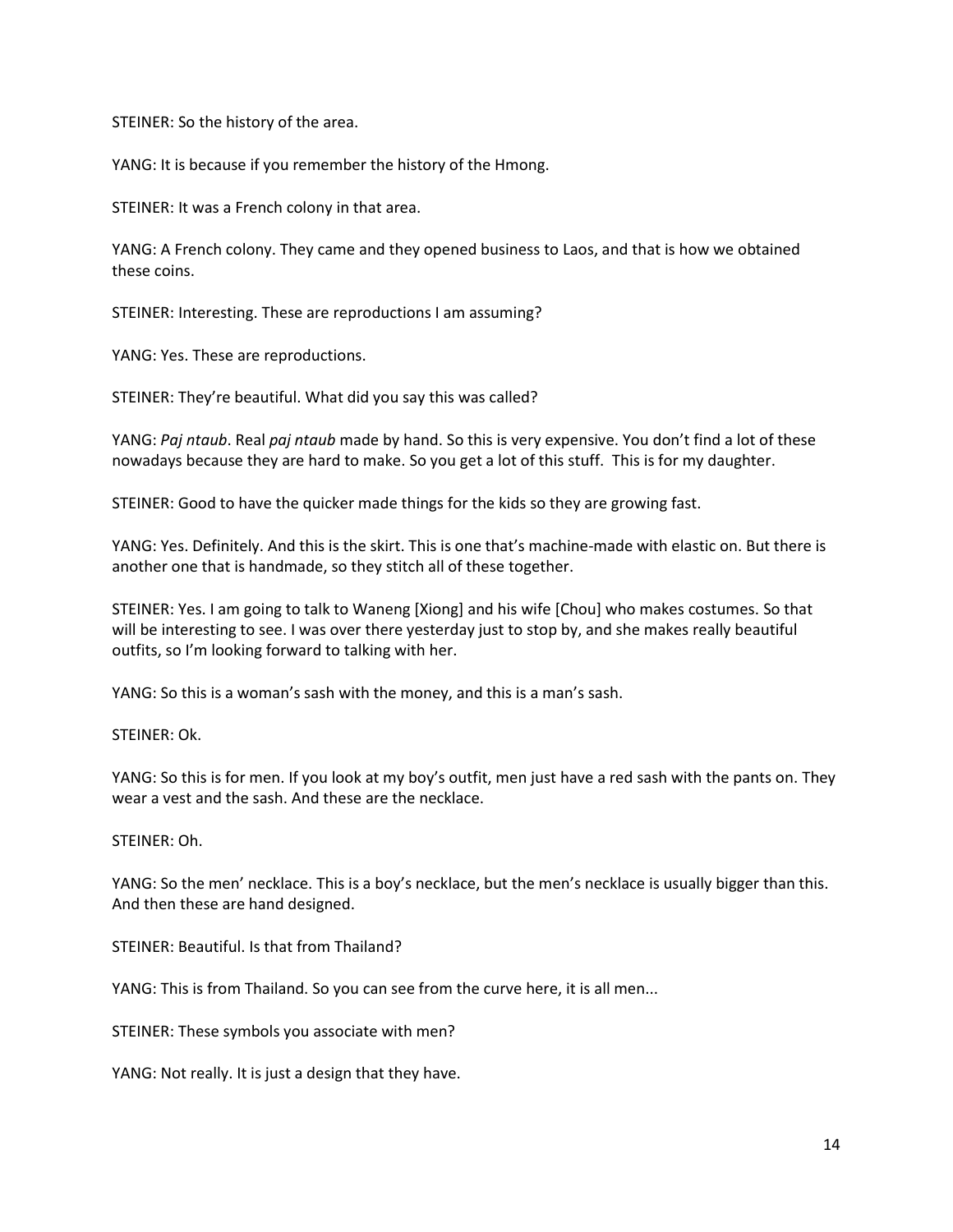STEINER: So the history of the area.

YANG: It is because if you remember the history of the Hmong.

STEINER: It was a French colony in that area.

YANG: A French colony. They came and they opened business to Laos, and that is how we obtained these coins.

STEINER: Interesting. These are reproductions I am assuming?

YANG: Yes. These are reproductions.

STEINER: They're beautiful. What did you say this was called?

YANG: *Paj ntaub*. Real *paj ntaub* made by hand. So this is very expensive. You don't find a lot of these nowadays because they are hard to make. So you get a lot of this stuff. This is for my daughter.

STEINER: Good to have the quicker made things for the kids so they are growing fast.

YANG: Yes. Definitely. And this is the skirt. This is one that's machine-made with elastic on. But there is another one that is handmade, so they stitch all of these together.

STEINER: Yes. I am going to talk to Waneng [Xiong] and his wife [Chou] who makes costumes. So that will be interesting to see. I was over there yesterday just to stop by, and she makes really beautiful outfits, so I'm looking forward to talking with her.

YANG: So this is a woman's sash with the money, and this is a man's sash.

STEINER: Ok.

YANG: So this is for men. If you look at my boy's outfit, men just have a red sash with the pants on. They wear a vest and the sash. And these are the necklace.

### STEINER: Oh.

YANG: So the men' necklace. This is a boy's necklace, but the men's necklace is usually bigger than this. And then these are hand designed.

STEINER: Beautiful. Is that from Thailand?

YANG: This is from Thailand. So you can see from the curve here, it is all men...

STEINER: These symbols you associate with men?

YANG: Not really. It is just a design that they have.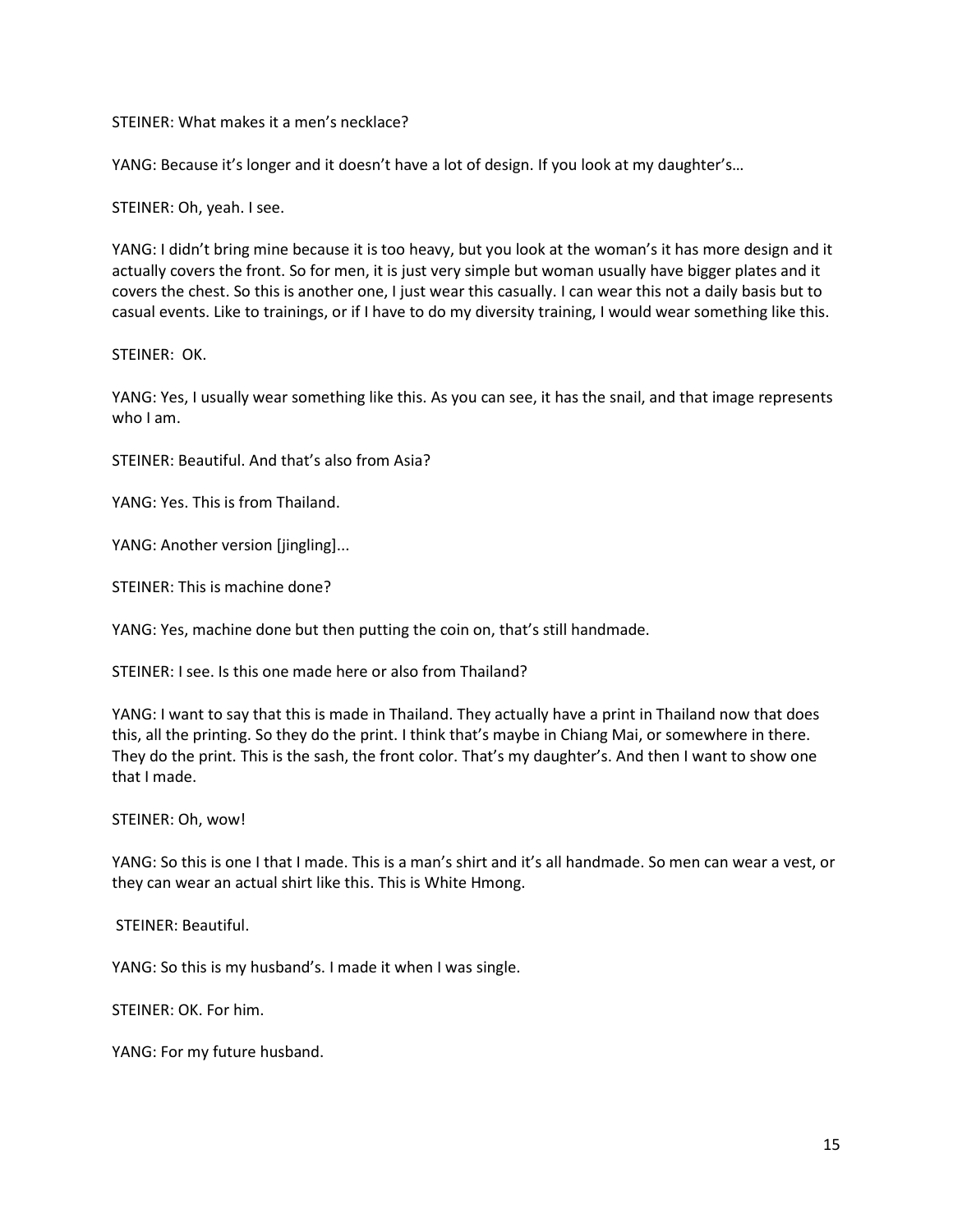STEINER: What makes it a men's necklace?

YANG: Because it's longer and it doesn't have a lot of design. If you look at my daughter's…

STEINER: Oh, yeah. I see.

YANG: I didn't bring mine because it is too heavy, but you look at the woman's it has more design and it actually covers the front. So for men, it is just very simple but woman usually have bigger plates and it covers the chest. So this is another one, I just wear this casually. I can wear this not a daily basis but to casual events. Like to trainings, or if I have to do my diversity training, I would wear something like this.

STEINER: OK.

YANG: Yes, I usually wear something like this. As you can see, it has the snail, and that image represents who I am.

STEINER: Beautiful. And that's also from Asia?

YANG: Yes. This is from Thailand.

YANG: Another version [jingling]...

STEINER: This is machine done?

YANG: Yes, machine done but then putting the coin on, that's still handmade.

STEINER: I see. Is this one made here or also from Thailand?

YANG: I want to say that this is made in Thailand. They actually have a print in Thailand now that does this, all the printing. So they do the print. I think that's maybe in Chiang Mai, or somewhere in there. They do the print. This is the sash, the front color. That's my daughter's. And then I want to show one that I made.

STEINER: Oh, wow!

YANG: So this is one I that I made. This is a man's shirt and it's all handmade. So men can wear a vest, or they can wear an actual shirt like this. This is White Hmong.

STEINER: Beautiful.

YANG: So this is my husband's. I made it when I was single.

STEINER: OK. For him.

YANG: For my future husband.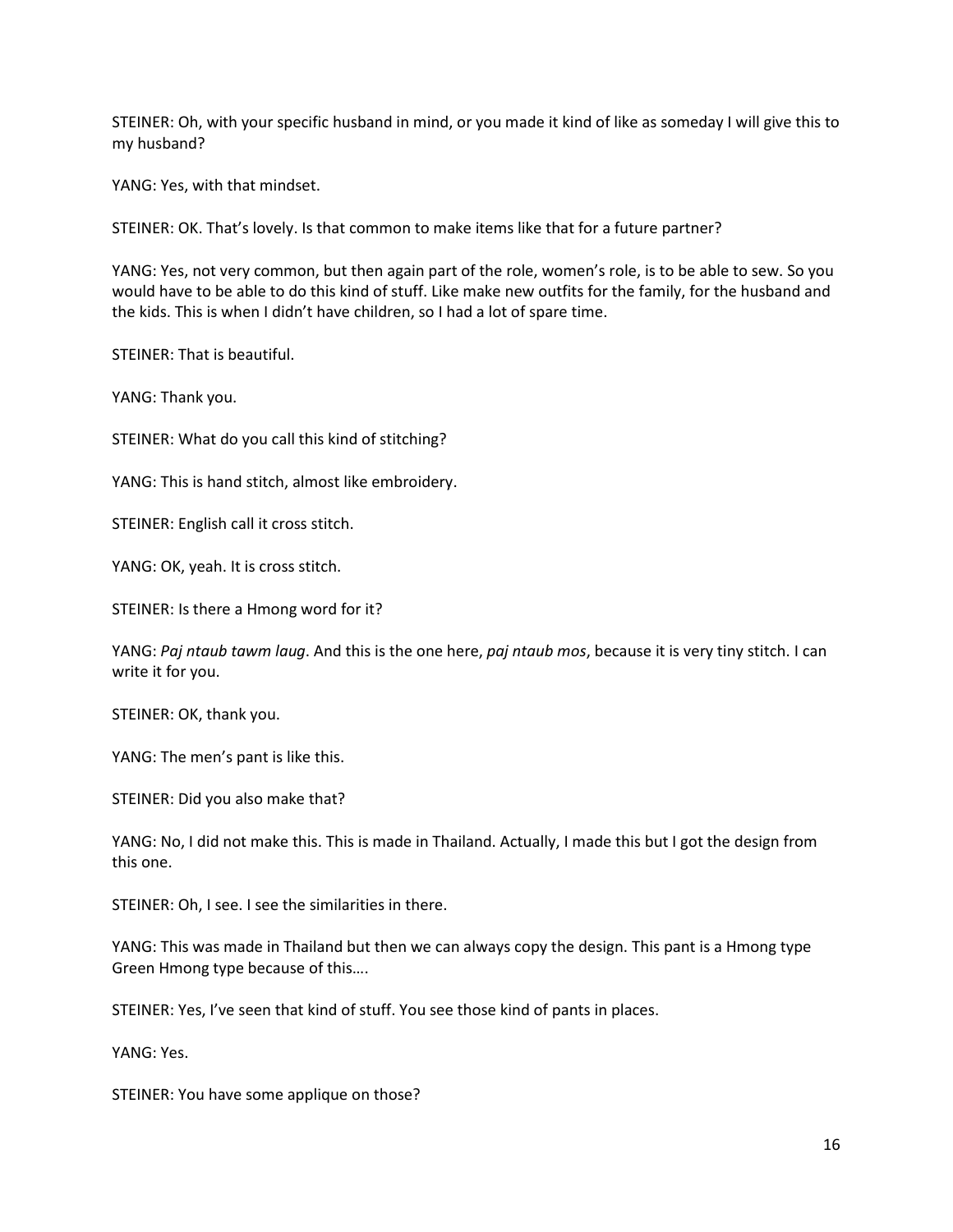STEINER: Oh, with your specific husband in mind, or you made it kind of like as someday I will give this to my husband?

YANG: Yes, with that mindset.

STEINER: OK. That's lovely. Is that common to make items like that for a future partner?

YANG: Yes, not very common, but then again part of the role, women's role, is to be able to sew. So you would have to be able to do this kind of stuff. Like make new outfits for the family, for the husband and the kids. This is when I didn't have children, so I had a lot of spare time.

STEINER: That is beautiful.

YANG: Thank you.

STEINER: What do you call this kind of stitching?

YANG: This is hand stitch, almost like embroidery.

STEINER: English call it cross stitch.

YANG: OK, yeah. It is cross stitch.

STEINER: Is there a Hmong word for it?

YANG: *Paj ntaub tawm laug*. And this is the one here, *paj ntaub mos*, because it is very tiny stitch. I can write it for you.

STEINER: OK, thank you.

YANG: The men's pant is like this.

STEINER: Did you also make that?

YANG: No, I did not make this. This is made in Thailand. Actually, I made this but I got the design from this one.

STEINER: Oh, I see. I see the similarities in there.

YANG: This was made in Thailand but then we can always copy the design. This pant is a Hmong type Green Hmong type because of this….

STEINER: Yes, I've seen that kind of stuff. You see those kind of pants in places.

YANG: Yes.

STEINER: You have some applique on those?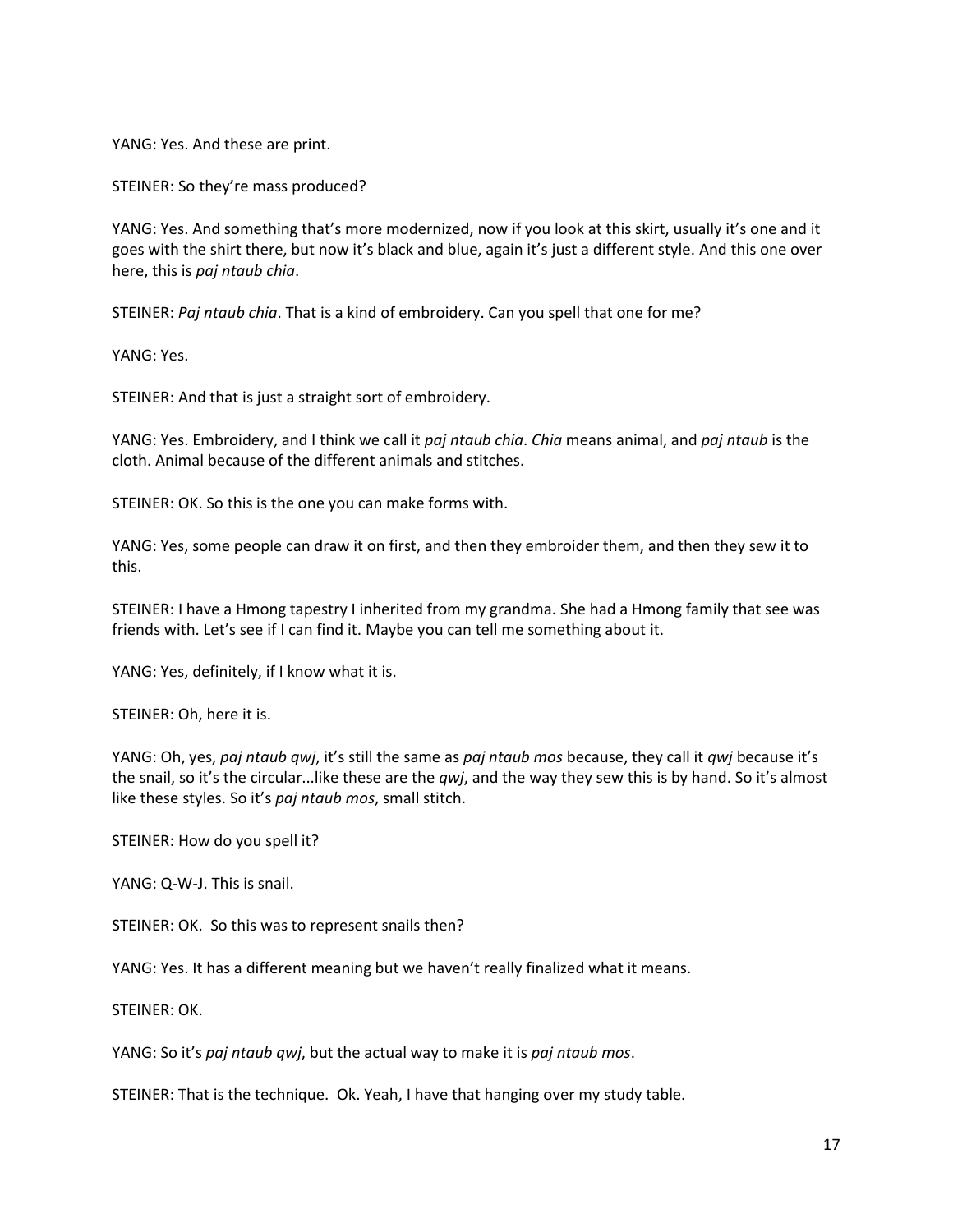YANG: Yes. And these are print.

STEINER: So they're mass produced?

YANG: Yes. And something that's more modernized, now if you look at this skirt, usually it's one and it goes with the shirt there, but now it's black and blue, again it's just a different style. And this one over here, this is *paj ntaub chia*.

STEINER: *Paj ntaub chia*. That is a kind of embroidery. Can you spell that one for me?

YANG: Yes.

STEINER: And that is just a straight sort of embroidery.

YANG: Yes. Embroidery, and I think we call it *paj ntaub chia*. *Chia* means animal, and *paj ntaub* is the cloth. Animal because of the different animals and stitches.

STEINER: OK. So this is the one you can make forms with.

YANG: Yes, some people can draw it on first, and then they embroider them, and then they sew it to this.

STEINER: I have a Hmong tapestry I inherited from my grandma. She had a Hmong family that see was friends with. Let's see if I can find it. Maybe you can tell me something about it.

YANG: Yes, definitely, if I know what it is.

STEINER: Oh, here it is.

YANG: Oh, yes, *paj ntaub qwj*, it's still the same as *paj ntaub mos* because, they call it *qwj* because it's the snail, so it's the circular...like these are the *qwj*, and the way they sew this is by hand. So it's almost like these styles. So it's *paj ntaub mos*, small stitch.

STEINER: How do you spell it?

YANG: Q-W-J. This is snail.

STEINER: OK. So this was to represent snails then?

YANG: Yes. It has a different meaning but we haven't really finalized what it means.

STEINER: OK.

YANG: So it's *paj ntaub qwj*, but the actual way to make it is *paj ntaub mos*.

STEINER: That is the technique. Ok. Yeah, I have that hanging over my study table.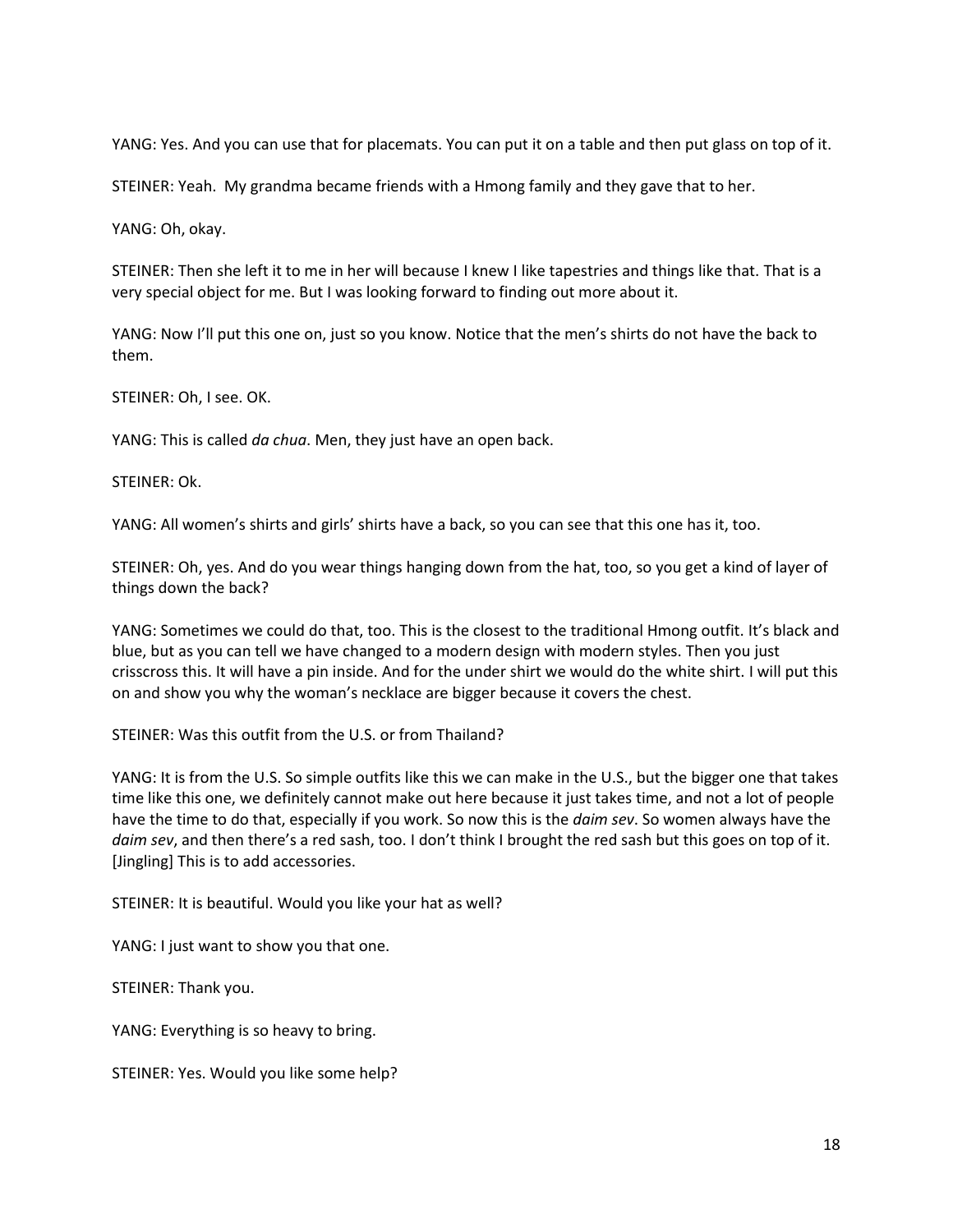YANG: Yes. And you can use that for placemats. You can put it on a table and then put glass on top of it.

STEINER: Yeah. My grandma became friends with a Hmong family and they gave that to her.

YANG: Oh, okay.

STEINER: Then she left it to me in her will because I knew I like tapestries and things like that. That is a very special object for me. But I was looking forward to finding out more about it.

YANG: Now I'll put this one on, just so you know. Notice that the men's shirts do not have the back to them.

STEINER: Oh, I see. OK.

YANG: This is called *da chua*. Men, they just have an open back.

STEINER: Ok.

YANG: All women's shirts and girls' shirts have a back, so you can see that this one has it, too.

STEINER: Oh, yes. And do you wear things hanging down from the hat, too, so you get a kind of layer of things down the back?

YANG: Sometimes we could do that, too. This is the closest to the traditional Hmong outfit. It's black and blue, but as you can tell we have changed to a modern design with modern styles. Then you just crisscross this. It will have a pin inside. And for the under shirt we would do the white shirt. I will put this on and show you why the woman's necklace are bigger because it covers the chest.

STEINER: Was this outfit from the U.S. or from Thailand?

YANG: It is from the U.S. So simple outfits like this we can make in the U.S., but the bigger one that takes time like this one, we definitely cannot make out here because it just takes time, and not a lot of people have the time to do that, especially if you work. So now this is the *daim sev*. So women always have the *daim sev*, and then there's a red sash, too. I don't think I brought the red sash but this goes on top of it. [Jingling] This is to add accessories.

STEINER: It is beautiful. Would you like your hat as well?

YANG: I just want to show you that one.

STEINER: Thank you.

YANG: Everything is so heavy to bring.

STEINER: Yes. Would you like some help?